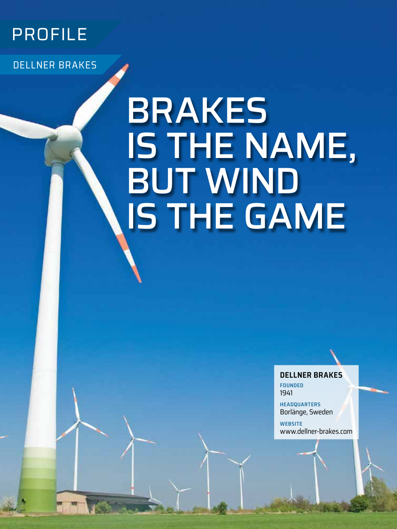

DELLNER BRAKES

**34** JULY/AUGUST 2020

# BRAKES IS THE NAME, BUT WIND IS THE GAME

**DELLNER BRAKES**

**FOUNDED** 1941

**HEADQUARTERS** Borlänge, Sweden

**WEBSITE** [www.dellner-brakes.com](http://www.dellner-brakes.com)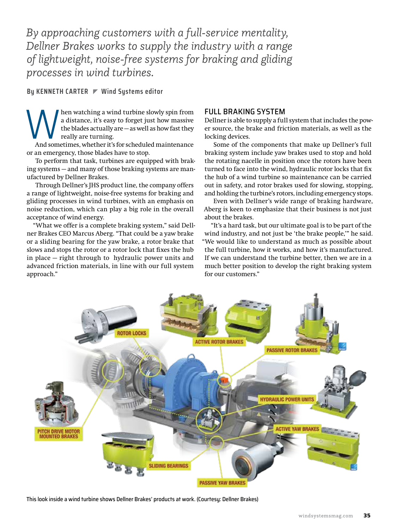*By approaching customers with a full-service mentality, Dellner Brakes works to supply the industry with a range of lightweight, noise-free systems for braking and gliding processes in wind turbines.*

**By KENNETH CARTER Wind Systems editor**

Men watching a wind turbine slowly spin from<br>a distance, it's easy to forget just how massive<br>the blades actually are —as well as how fast they<br>really are turning.<br>And sometimes, whether it's for scheduled maintenance a distance, it's easy to forget just how massive the blades actually are — as well as how fast they really are turning.

And sometimes, whether it's for scheduled maintenance or an emergency, those blades have to stop.

To perform that task, turbines are equipped with braking systems — and many of those braking systems are manufactured by Dellner Brakes.

Through Dellner's JHS product line, the company offers a range of lightweight, noise-free systems for braking and gliding processes in wind turbines, with an emphasis on noise reduction, which can play a big role in the overall acceptance of wind energy.

"What we offer is a complete braking system," said Dellner Brakes CEO Marcus Aberg. "That could be a yaw brake or a sliding bearing for the yaw brake, a rotor brake that slows and stops the rotor or a rotor lock that fixes the hub in place — right through to hydraulic power units and advanced friction materials, in line with our full system approach."

#### FULL BRAKING SYSTEM

Dellner is able to supply a full system that includes the power source, the brake and friction materials, as well as the locking devices.

Some of the components that make up Dellner's full braking system include yaw brakes used to stop and hold the rotating nacelle in position once the rotors have been turned to face into the wind, hydraulic rotor locks that fix the hub of a wind turbine so maintenance can be carried out in safety, and rotor brakes used for slowing, stopping, and holding the turbine's rotors, including emergency stops.

Even with Dellner's wide range of braking hardware, Aberg is keen to emphasize that their business is not just about the brakes.

"It's a hard task, but our ultimate goal is to be part of the wind industry, and not just be 'the brake people,'" he said. "We would like to understand as much as possible about the full turbine, how it works, and how it's manufactured. If we can understand the turbine better, then we are in a much better position to develop the right braking system for our customers."



This look inside a wind turbine shows Dellner Brakes' products at work. (Courtesy: Dellner Brakes)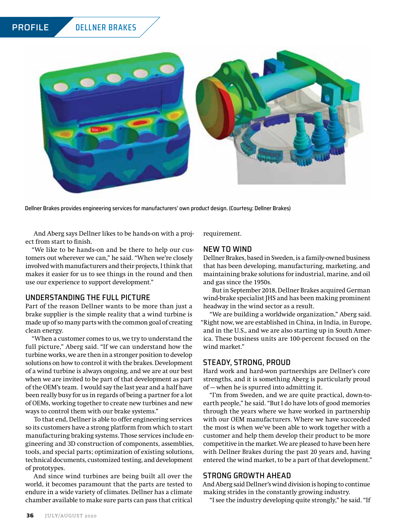

Dellner Brakes provides engineering services for manufacturers' own product design. (Courtesy: Dellner Brakes)

And Aberg says Dellner likes to be hands-on with a project from start to finish.

"We like to be hands-on and be there to help our customers out wherever we can," he said. "When we're closely involved with manufacturers and their projects, I think that makes it easier for us to see things in the round and then use our experience to support development."

#### UNDERSTANDING THE FULL PICTURE

Part of the reason Dellner wants to be more than just a brake supplier is the simple reality that a wind turbine is made up of so many parts with the common goal of creating clean energy.

"When a customer comes to us, we try to understand the full picture," Aberg said. "If we can understand how the turbine works, we are then in a stronger position to develop solutions on how to control it with the brakes. Development of a wind turbine is always ongoing, and we are at our best when we are invited to be part of that development as part of the OEM's team. I would say the last year and a half have been really busy for us in regards of being a partner for a lot of OEMs, working together to create new turbines and new ways to control them with our brake systems."

To that end, Dellner is able to offer engineering services so its customers have a strong platform from which to start manufacturing braking systems. Those services include engineering and 3D construction of components, assemblies, tools, and special parts; optimization of existing solutions, technical documents, customized testing, and development of prototypes.

And since wind turbines are being built all over the world, it becomes paramount that the parts are tested to endure in a wide variety of climates. Dellner has a climate chamber available to make sure parts can pass that critical requirement.

#### NEW TO WIND

Dellner Brakes, based in Sweden, is a family-owned business that has been developing, manufacturing, marketing, and maintaining brake solutions for industrial, marine, and oil and gas since the 1950s.

But in September 2018, Dellner Brakes acquired German wind-brake specialist JHS and has been making prominent headway in the wind sector as a result.

"We are building a worldwide organization," Aberg said. "Right now, we are established in China, in India, in Europe, and in the U.S., and we are also starting up in South America. These business units are 100-percent focused on the wind market."

#### STEADY, STRONG, PROUD

Hard work and hard-won partnerships are Dellner's core strengths, and it is something Aberg is particularly proud of — when he is spurred into admitting it.

"I'm from Sweden, and we are quite practical, down-toearth people," he said. "But I do have lots of good memories through the years where we have worked in partnership with our OEM manufacturers. Where we have succeeded the most is when we've been able to work together with a customer and help them develop their product to be more competitive in the market. We are pleased to have been here with Dellner Brakes during the past 20 years and, having entered the wind market, to be a part of that development."

#### STRONG GROWTH AHEAD

And Aberg said Dellner's wind division is hoping to continue making strides in the constantly growing industry.

"I see the industry developing quite strongly," he said. "If